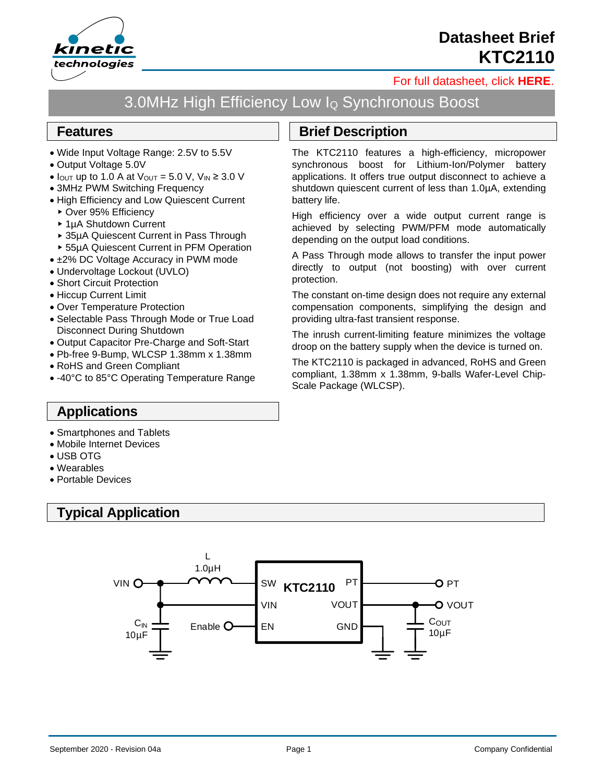

# **Datasheet Brief KTC2110**

#### [For full datasheet, click](https://www.kinet-ic.com/sample-buy/request-document/?part=KTC2110%20Full%20Datasheet) **HERE**.

# 3.0MHz High Efficiency Low I<sup>Q</sup> Synchronous Boost

#### **Features**

- Wide Input Voltage Range: 2.5V to 5.5V
- Output Voltage 5.0V
- $I_{\text{OUT}}$  up to 1.0 A at  $V_{\text{OUT}} = 5.0$  V,  $V_{\text{IN}} \geq 3.0$  V
- 3MHz PWM Switching Frequency
- High Efficiency and Low Quiescent Current
	- ▶ Over 95% Efficiencv
	- ▶ 1µA Shutdown Current
	- 35µA Quiescent Current in Pass Through
	- 55µA Quiescent Current in PFM Operation
- ±2% DC Voltage Accuracy in PWM mode
- Undervoltage Lockout (UVLO)
- Short Circuit Protection
- Hiccup Current Limit
- Over Temperature Protection
- Selectable Pass Through Mode or True Load Disconnect During Shutdown
- Output Capacitor Pre-Charge and Soft-Start
- Pb-free 9-Bump, WLCSP 1.38mm x 1.38mm
- RoHS and Green Compliant
- -40°C to 85°C Operating Temperature Range

## **Brief Description**

The KTC2110 features a high-efficiency, micropower synchronous boost for Lithium-Ion/Polymer battery applications. It offers true output disconnect to achieve a shutdown quiescent current of less than 1.0µA, extending battery life.

High efficiency over a wide output current range is achieved by selecting PWM/PFM mode automatically depending on the output load conditions.

A Pass Through mode allows to transfer the input power directly to output (not boosting) with over current protection.

The constant on-time design does not require any external compensation components, simplifying the design and providing ultra-fast transient response.

The inrush current-limiting feature minimizes the voltage droop on the battery supply when the device is turned on.

The KTC2110 is packaged in advanced, RoHS and Green compliant, 1.38mm x 1.38mm, 9-balls Wafer-Level Chip-Scale Package (WLCSP).

### **Applications**

- Smartphones and Tablets
- Mobile Internet Devices
- USB OTG
- Wearables
- Portable Devices

# **Typical Application**